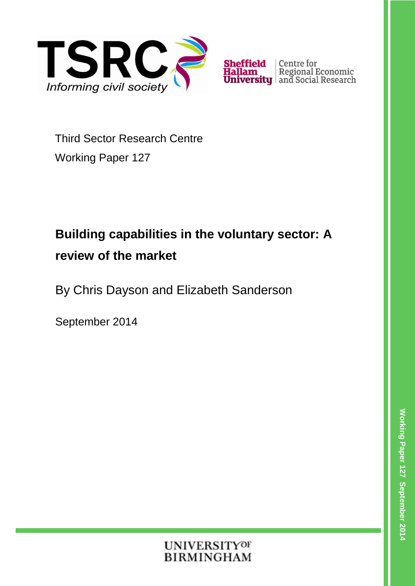

**Sheffield** Centre for<br>**Hallam** Regional Economic<br>**University** and Social Research

Third Sector Research Centre Working Paper 127

# **Building capabilities in the voluntary sector: A review of the market**

By Chris Dayson and Elizabeth Sanderson

September 2014

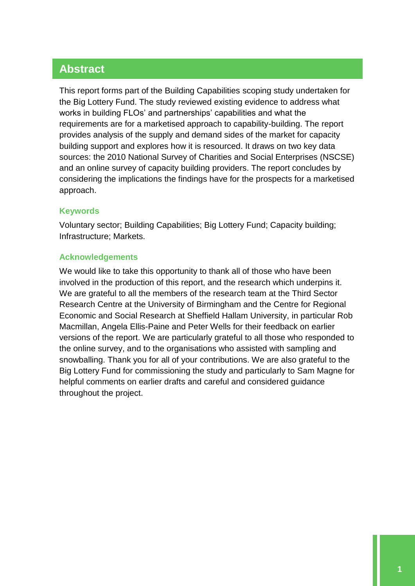# **Abstract**

This report forms part of the Building Capabilities scoping study undertaken for the Big Lottery Fund. The study reviewed existing evidence to address what works in building FLOs' and partnerships' capabilities and what the requirements are for a marketised approach to capability-building. The report provides analysis of the supply and demand sides of the market for capacity building support and explores how it is resourced. It draws on two key data sources: the 2010 National Survey of Charities and Social Enterprises (NSCSE) and an online survey of capacity building providers. The report concludes by considering the implications the findings have for the prospects for a marketised approach.

#### **Keywords**

Voluntary sector; Building Capabilities; Big Lottery Fund; Capacity building; Infrastructure; Markets.

#### **Acknowledgements**

We would like to take this opportunity to thank all of those who have been involved in the production of this report, and the research which underpins it. We are grateful to all the members of the research team at the Third Sector Research Centre at the University of Birmingham and the Centre for Regional Economic and Social Research at Sheffield Hallam University, in particular Rob Macmillan, Angela Ellis-Paine and Peter Wells for their feedback on earlier versions of the report. We are particularly grateful to all those who responded to the online survey, and to the organisations who assisted with sampling and snowballing. Thank you for all of your contributions. We are also grateful to the Big Lottery Fund for commissioning the study and particularly to Sam Magne for helpful comments on earlier drafts and careful and considered guidance throughout the project.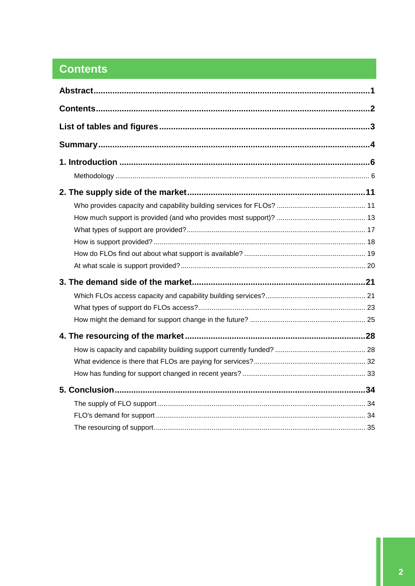# **Contents**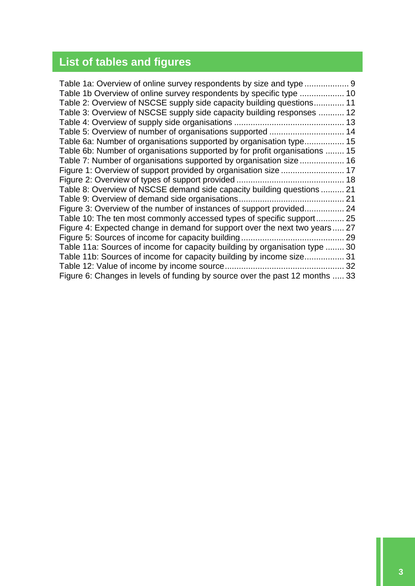# **List of tables and figures**

| Table 1a: Overview of online survey respondents by size and type             |    |
|------------------------------------------------------------------------------|----|
| Table 1b Overview of online survey respondents by specific type  10          |    |
| Table 2: Overview of NSCSE supply side capacity building questions 11        |    |
| Table 3: Overview of NSCSE supply side capacity building responses  12       |    |
|                                                                              |    |
|                                                                              |    |
| Table 6a: Number of organisations supported by organisation type 15          |    |
| Table 6b: Number of organisations supported by for profit organisations  15  |    |
| Table 7: Number of organisations supported by organisation size  16          |    |
| Figure 1: Overview of support provided by organisation size  17              |    |
|                                                                              |    |
| Table 8: Overview of NSCSE demand side capacity building questions  21       |    |
|                                                                              |    |
| Figure 3: Overview of the number of instances of support provided 24         |    |
| Table 10: The ten most commonly accessed types of specific support 25        |    |
| Figure 4: Expected change in demand for support over the next two years 27   |    |
|                                                                              |    |
| Table 11a: Sources of income for capacity building by organisation type      | 30 |
| Table 11b: Sources of income for capacity building by income size            | 31 |
|                                                                              | 32 |
| Figure 6: Changes in levels of funding by source over the past 12 months  33 |    |
|                                                                              |    |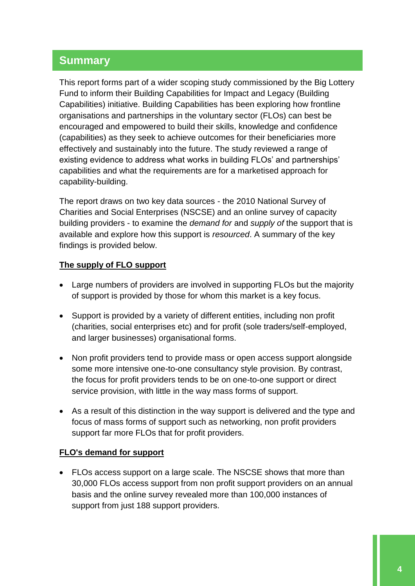# **Summary**

This report forms part of a wider scoping study commissioned by the Big Lottery Fund to inform their Building Capabilities for Impact and Legacy (Building Capabilities) initiative. Building Capabilities has been exploring how frontline organisations and partnerships in the voluntary sector (FLOs) can best be encouraged and empowered to build their skills, knowledge and confidence (capabilities) as they seek to achieve outcomes for their beneficiaries more effectively and sustainably into the future. The study reviewed a range of existing evidence to address what works in building FLOs' and partnerships' capabilities and what the requirements are for a marketised approach for capability-building.

The report draws on two key data sources - the 2010 National Survey of Charities and Social Enterprises (NSCSE) and an online survey of capacity building providers - to examine the *demand for* and *supply of* the support that is available and explore how this support is *resourced*. A summary of the key findings is provided below.

## **The supply of FLO support**

- Large numbers of providers are involved in supporting FLOs but the majority of support is provided by those for whom this market is a key focus.
- Support is provided by a variety of different entities, including non profit (charities, social enterprises etc) and for profit (sole traders/self-employed, and larger businesses) organisational forms.
- Non profit providers tend to provide mass or open access support alongside some more intensive one-to-one consultancy style provision. By contrast, the focus for profit providers tends to be on one-to-one support or direct service provision, with little in the way mass forms of support.
- As a result of this distinction in the way support is delivered and the type and focus of mass forms of support such as networking, non profit providers support far more FLOs that for profit providers.

#### **FLO's demand for support**

 FLOs access support on a large scale. The NSCSE shows that more than 30,000 FLOs access support from non profit support providers on an annual basis and the online survey revealed more than 100,000 instances of support from just 188 support providers.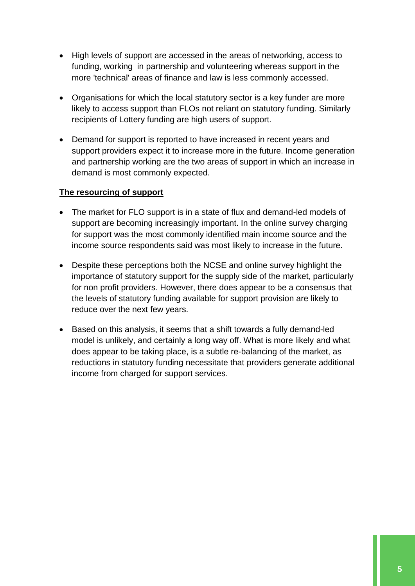- High levels of support are accessed in the areas of networking, access to funding, working in partnership and volunteering whereas support in the more 'technical' areas of finance and law is less commonly accessed.
- Organisations for which the local statutory sector is a key funder are more likely to access support than FLOs not reliant on statutory funding. Similarly recipients of Lottery funding are high users of support.
- Demand for support is reported to have increased in recent years and support providers expect it to increase more in the future. Income generation and partnership working are the two areas of support in which an increase in demand is most commonly expected.

## **The resourcing of support**

- The market for FLO support is in a state of flux and demand-led models of support are becoming increasingly important. In the online survey charging for support was the most commonly identified main income source and the income source respondents said was most likely to increase in the future.
- Despite these perceptions both the NCSE and online survey highlight the importance of statutory support for the supply side of the market, particularly for non profit providers. However, there does appear to be a consensus that the levels of statutory funding available for support provision are likely to reduce over the next few years.
- Based on this analysis, it seems that a shift towards a fully demand-led model is unlikely, and certainly a long way off. What is more likely and what does appear to be taking place, is a subtle re-balancing of the market, as reductions in statutory funding necessitate that providers generate additional income from charged for support services.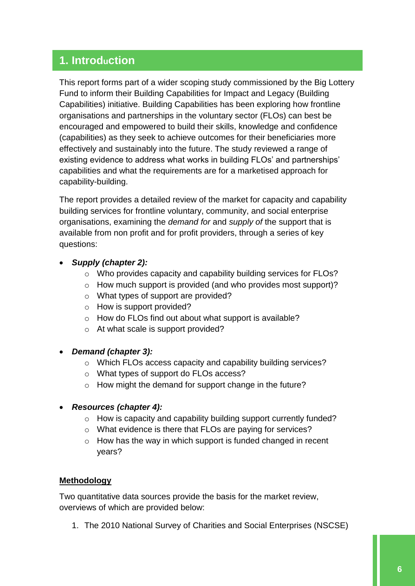# **1. Introduction**

This report forms part of a wider scoping study commissioned by the Big Lottery Fund to inform their Building Capabilities for Impact and Legacy (Building Capabilities) initiative. Building Capabilities has been exploring how frontline organisations and partnerships in the voluntary sector (FLOs) can best be encouraged and empowered to build their skills, knowledge and confidence (capabilities) as they seek to achieve outcomes for their beneficiaries more effectively and sustainably into the future. The study reviewed a range of existing evidence to address what works in building FLOs' and partnerships' capabilities and what the requirements are for a marketised approach for capability-building.

The report provides a detailed review of the market for capacity and capability building services for frontline voluntary, community, and social enterprise organisations, examining the *demand for* and *supply of* the support that is available from non profit and for profit providers, through a series of key questions:

- *Supply (chapter 2):*
	- o Who provides capacity and capability building services for FLOs?
	- o How much support is provided (and who provides most support)?
	- o What types of support are provided?
	- o How is support provided?
	- o How do FLOs find out about what support is available?
	- o At what scale is support provided?
- *Demand (chapter 3):* 
	- o Which FLOs access capacity and capability building services?
	- o What types of support do FLOs access?
	- o How might the demand for support change in the future?
- *Resources (chapter 4):*
	- o How is capacity and capability building support currently funded?
	- o What evidence is there that FLOs are paying for services?
	- o How has the way in which support is funded changed in recent years?

#### **Methodology**

Two quantitative data sources provide the basis for the market review, overviews of which are provided below:

1. The 2010 National Survey of Charities and Social Enterprises (NSCSE)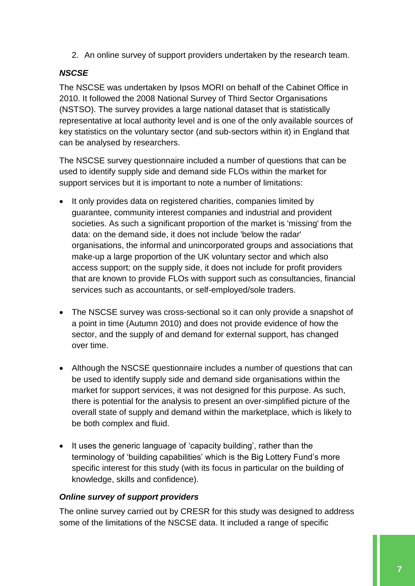2. An online survey of support providers undertaken by the research team.

## *NSCSE*

The NSCSE was undertaken by Ipsos MORI on behalf of the Cabinet Office in 2010. It followed the 2008 National Survey of Third Sector Organisations (NSTSO). The survey provides a large national dataset that is statistically representative at local authority level and is one of the only available sources of key statistics on the voluntary sector (and sub-sectors within it) in England that can be analysed by researchers.

The NSCSE survey questionnaire included a number of questions that can be used to identify supply side and demand side FLOs within the market for support services but it is important to note a number of limitations:

- It only provides data on registered charities, companies limited by guarantee, community interest companies and industrial and provident societies. As such a significant proportion of the market is 'missing' from the data: on the demand side, it does not include 'below the radar' organisations, the informal and unincorporated groups and associations that make-up a large proportion of the UK voluntary sector and which also access support; on the supply side, it does not include for profit providers that are known to provide FLOs with support such as consultancies, financial services such as accountants, or self-employed/sole traders.
- The NSCSE survey was cross-sectional so it can only provide a snapshot of a point in time (Autumn 2010) and does not provide evidence of how the sector, and the supply of and demand for external support, has changed over time.
- Although the NSCSE questionnaire includes a number of questions that can be used to identify supply side and demand side organisations within the market for support services, it was not designed for this purpose. As such, there is potential for the analysis to present an over-simplified picture of the overall state of supply and demand within the marketplace, which is likely to be both complex and fluid.
- It uses the generic language of 'capacity building', rather than the terminology of 'building capabilities' which is the Big Lottery Fund's more specific interest for this study (with its focus in particular on the building of knowledge, skills and confidence).

#### *Online survey of support providers*

The online survey carried out by CRESR for this study was designed to address some of the limitations of the NSCSE data. It included a range of specific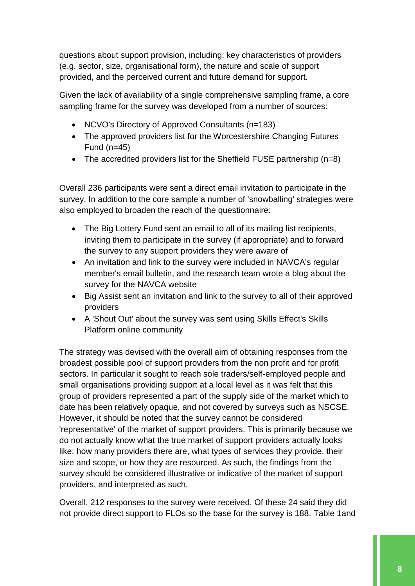questions about support provision, including: key characteristics of providers (e.g. sector, size, organisational form), the nature and scale of support provided, and the perceived current and future demand for support.

Given the lack of availability of a single comprehensive sampling frame, a core sampling frame for the survey was developed from a number of sources:

- NCVO's Directory of Approved Consultants (n=183)
- The approved providers list for the Worcestershire Changing Futures Fund (n=45)
- The accredited providers list for the Sheffield FUSE partnership (n=8)

Overall 236 participants were sent a direct email invitation to participate in the survey. In addition to the core sample a number of 'snowballing' strategies were also employed to broaden the reach of the questionnaire:

- The Big Lottery Fund sent an email to all of its mailing list recipients, inviting them to participate in the survey (if appropriate) and to forward the survey to any support providers they were aware of
- An invitation and link to the survey were included in NAVCA's regular member's email bulletin, and the research team wrote a blog about the survey for the NAVCA website
- Big Assist sent an invitation and link to the survey to all of their approved providers
- A 'Shout Out' about the survey was sent using Skills Effect's Skills Platform online community

The strategy was devised with the overall aim of obtaining responses from the broadest possible pool of support providers from the non profit and for profit sectors. In particular it sought to reach sole traders/self-employed people and small organisations providing support at a local level as it was felt that this group of providers represented a part of the supply side of the market which to date has been relatively opaque, and not covered by surveys such as NSCSE. However, it should be noted that the survey cannot be considered 'representative' of the market of support providers. This is primarily because we do not actually know what the true market of support providers actually looks like: how many providers there are, what types of services they provide, their size and scope, or how they are resourced. As such, the findings from the survey should be considered illustrative or indicative of the market of support providers, and interpreted as such.

Overall, 212 responses to the survey were received. Of these 24 said they did not provide direct support to FLOs so the base for the survey is 188. Table 1and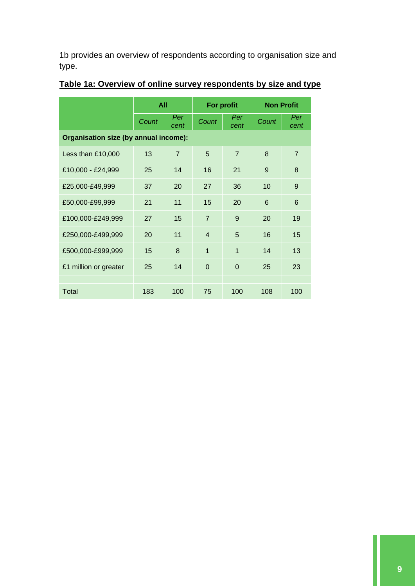1b provides an overview of respondents according to organisation size and type.

|                                       | <b>All</b> |                | For profit     |                | <b>Non Profit</b> |             |  |  |
|---------------------------------------|------------|----------------|----------------|----------------|-------------------|-------------|--|--|
|                                       | Count      | Per<br>cent    | Count          | Per<br>cent    | Count             | Per<br>cent |  |  |
| Organisation size (by annual income): |            |                |                |                |                   |             |  |  |
| Less than £10,000                     | 13         | $\overline{7}$ | 5              | $\overline{7}$ | 8                 | 7           |  |  |
| £10,000 - £24,999                     | 25         | 14             | 16             | 21             | 9                 | 8           |  |  |
| £25,000-£49,999                       | 37         | 20             | 27             | 36             | 10                | 9           |  |  |
| £50,000-£99,999                       | 21         | 11             | 15             | 20             | 6                 | 6           |  |  |
| £100,000-£249,999                     | 27         | 15             | $\overline{7}$ | 9              | 20                | 19          |  |  |
| £250,000-£499,999                     | 20         | 11             | $\overline{4}$ | 5              | 16                | 15          |  |  |
| £500,000-£999,999                     | 15         | 8              | $\overline{1}$ | $\mathbf{1}$   | 14                | 13          |  |  |
| £1 million or greater                 | 25         | 14             | $\Omega$       | $\Omega$       | 25                | 23          |  |  |
|                                       |            |                |                |                |                   |             |  |  |
| Total                                 | 183        | 100            | 75             | 100            | 108               | 100         |  |  |

# <span id="page-9-0"></span>**Table 1a: Overview of online survey respondents by size and type**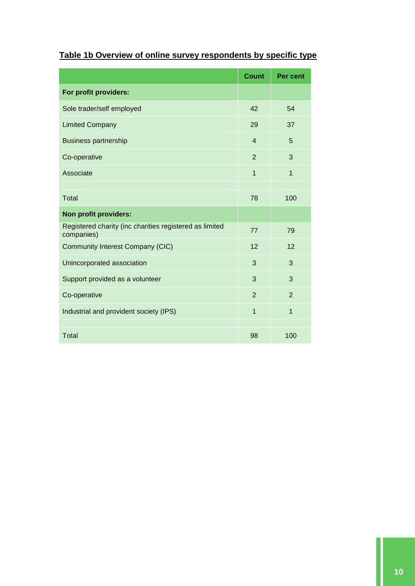# <span id="page-10-0"></span>**Table 1b Overview of online survey respondents by specific type**

|                                                                       | <b>Count</b>   | <b>Per cent</b> |
|-----------------------------------------------------------------------|----------------|-----------------|
| For profit providers:                                                 |                |                 |
| Sole trader/self employed                                             | 42             | 54              |
| <b>Limited Company</b>                                                | 29             | 37              |
| <b>Business partnership</b>                                           | $\overline{4}$ | 5               |
| Co-operative                                                          | $\overline{2}$ | 3               |
| Associate                                                             | $\mathbf{1}$   | $\mathbf{1}$    |
|                                                                       |                |                 |
| <b>Total</b>                                                          | 78             | 100             |
| Non profit providers:                                                 |                |                 |
| Registered charity (inc charities registered as limited<br>companies) | 77             | 79              |
| <b>Community Interest Company (CIC)</b>                               | 12             | 12              |
| Unincorporated association                                            | 3              | 3               |
| Support provided as a volunteer                                       | 3              | 3               |
| Co-operative                                                          | $\overline{2}$ | $\overline{2}$  |
| Industrial and provident society (IPS)                                | $\overline{1}$ | $\overline{1}$  |
| <b>Total</b>                                                          | 98             | 100             |
|                                                                       |                |                 |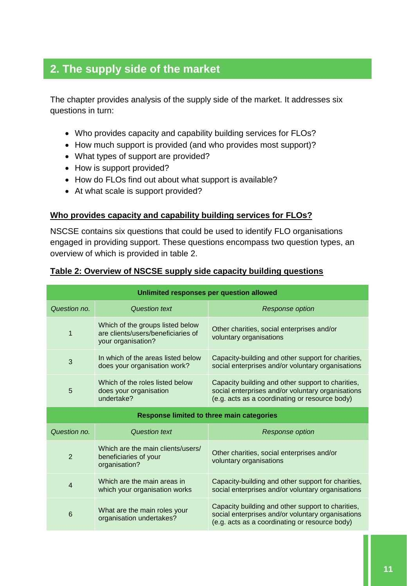# **2. The supply side of the market**

The chapter provides analysis of the supply side of the market. It addresses six questions in turn:

- Who provides capacity and capability building services for FLOs?
- How much support is provided (and who provides most support)?
- What types of support are provided?
- How is support provided?
- How do FLOs find out about what support is available?
- At what scale is support provided?

#### **Who provides capacity and capability building services for FLOs?**

NSCSE contains six questions that could be used to identify FLO organisations engaged in providing support. These questions encompass two question types, an overview of which is provided in table 2.

| Unlimited responses per question allowed         |                                                                                              |                                                                                                                                                          |  |  |  |
|--------------------------------------------------|----------------------------------------------------------------------------------------------|----------------------------------------------------------------------------------------------------------------------------------------------------------|--|--|--|
| Question no.                                     | <b>Question text</b>                                                                         | <b>Response option</b>                                                                                                                                   |  |  |  |
| $\mathbf 1$                                      | Which of the groups listed below<br>are clients/users/beneficiaries of<br>your organisation? | Other charities, social enterprises and/or<br>voluntary organisations                                                                                    |  |  |  |
| 3                                                | In which of the areas listed below<br>does your organisation work?                           | Capacity-building and other support for charities,<br>social enterprises and/or voluntary organisations                                                  |  |  |  |
| 5                                                | Which of the roles listed below<br>does your organisation<br>undertake?                      | Capacity building and other support to charities,<br>social enterprises and/or voluntary organisations<br>(e.g. acts as a coordinating or resource body) |  |  |  |
| <b>Response limited to three main categories</b> |                                                                                              |                                                                                                                                                          |  |  |  |
|                                                  |                                                                                              |                                                                                                                                                          |  |  |  |
| Question no.                                     | <b>Question text</b>                                                                         | <b>Response option</b>                                                                                                                                   |  |  |  |
| $\overline{2}$                                   | Which are the main clients/users/<br>beneficiaries of your<br>organisation?                  | Other charities, social enterprises and/or<br>voluntary organisations                                                                                    |  |  |  |
| $\overline{4}$                                   | Which are the main areas in<br>which your organisation works                                 | Capacity-building and other support for charities,<br>social enterprises and/or voluntary organisations                                                  |  |  |  |

#### <span id="page-11-0"></span>**Table 2: Overview of NSCSE supply side capacity building questions**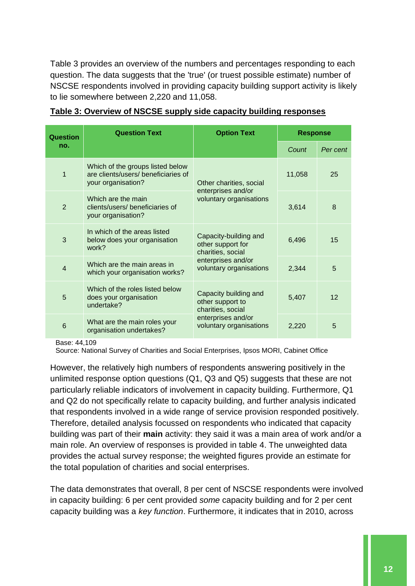Table 3 provides an overview of the numbers and percentages responding to each question. The data suggests that the 'true' (or truest possible estimate) number of NSCSE respondents involved in providing capacity building support activity is likely to lie somewhere between 2,220 and 11,058.

| Question        | <b>Question Text</b>                                                                          | <b>Option Text</b>                                              | <b>Response</b> |          |
|-----------------|-----------------------------------------------------------------------------------------------|-----------------------------------------------------------------|-----------------|----------|
| no.             |                                                                                               |                                                                 | Count           | Per cent |
| 1               | Which of the groups listed below<br>are clients/users/ beneficiaries of<br>your organisation? | Other charities, social                                         | 11,058          | 25       |
| $\overline{2}$  | Which are the main<br>clients/users/beneficiaries of<br>your organisation?                    | enterprises and/or<br>voluntary organisations                   | 3,614           | 8        |
| 3               | In which of the areas listed<br>below does your organisation<br>work?                         | Capacity-building and<br>other support for<br>charities, social | 6,496           | 15       |
| $\overline{4}$  | Which are the main areas in<br>which your organisation works?                                 | enterprises and/or<br>voluntary organisations                   | 2,344           | 5        |
| 5               | Which of the roles listed below<br>does your organisation<br>undertake?                       | Capacity building and<br>other support to<br>charities, social  | 5,407           | 12       |
| $6\phantom{1}6$ | What are the main roles your<br>organisation undertakes?                                      | enterprises and/or<br>voluntary organisations                   | 2,220           | 5        |

#### <span id="page-12-0"></span>**Table 3: Overview of NSCSE supply side capacity building responses**

Base: 44,109

Source: National Survey of Charities and Social Enterprises, Ipsos MORI, Cabinet Office

However, the relatively high numbers of respondents answering positively in the unlimited response option questions (Q1, Q3 and Q5) suggests that these are not particularly reliable indicators of involvement in capacity building. Furthermore, Q1 and Q2 do not specifically relate to capacity building, and further analysis indicated that respondents involved in a wide range of service provision responded positively. Therefore, detailed analysis focussed on respondents who indicated that capacity building was part of their **main** activity: they said it was a main area of work and/or a main role. An overview of responses is provided in table 4. The unweighted data provides the actual survey response; the weighted figures provide an estimate for the total population of charities and social enterprises.

The data demonstrates that overall, 8 per cent of NSCSE respondents were involved in capacity building: 6 per cent provided *some* capacity building and for 2 per cent capacity building was a *key function*. Furthermore, it indicates that in 2010, across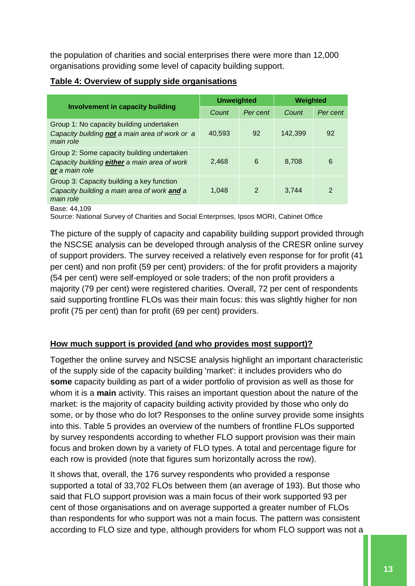the population of charities and social enterprises there were more than 12,000 organisations providing some level of capacity building support.

## <span id="page-13-0"></span>**Table 4: Overview of supply side organisations**

|                                                                                                              | <b>Unweighted</b> |               | Weighted |               |
|--------------------------------------------------------------------------------------------------------------|-------------------|---------------|----------|---------------|
| <b>Involvement in capacity building</b>                                                                      | Count             | Per cent      | Count    | Per cent      |
| Group 1: No capacity building undertaken<br>Capacity building not a main area of work or a<br>main role      | 40.593            | 92            | 142.399  | 92            |
| Group 2: Some capacity building undertaken<br>Capacity building either a main area of work<br>or a main role | 2.468             | 6             | 8.708    | 6             |
| Group 3: Capacity building a key function<br>Capacity building a main area of work and a<br>main role        | 1.048             | $\mathcal{P}$ | 3.744    | $\mathcal{P}$ |

Base: 44,109

Source: National Survey of Charities and Social Enterprises, Ipsos MORI, Cabinet Office

The picture of the supply of capacity and capability building support provided through the NSCSE analysis can be developed through analysis of the CRESR online survey of support providers. The survey received a relatively even response for for profit (41 per cent) and non profit (59 per cent) providers: of the for profit providers a majority (54 per cent) were self-employed or sole traders; of the non profit providers a majority (79 per cent) were registered charities. Overall, 72 per cent of respondents said supporting frontline FLOs was their main focus: this was slightly higher for non profit (75 per cent) than for profit (69 per cent) providers.

## **How much support is provided (and who provides most support)?**

Together the online survey and NSCSE analysis highlight an important characteristic of the supply side of the capacity building 'market': it includes providers who do **some** capacity building as part of a wider portfolio of provision as well as those for whom it is a **main** activity. This raises an important question about the nature of the market: is the majority of capacity building activity provided by those who only do some, or by those who do lot? Responses to the online survey provide some insights into this. Table 5 provides an overview of the numbers of frontline FLOs supported by survey respondents according to whether FLO support provision was their main focus and broken down by a variety of FLO types. A total and percentage figure for each row is provided (note that figures sum horizontally across the row).

It shows that, overall, the 176 survey respondents who provided a response supported a total of 33,702 FLOs between them (an average of 193). But those who said that FLO support provision was a main focus of their work supported 93 per cent of those organisations and on average supported a greater number of FLOs than respondents for who support was not a main focus. The pattern was consistent according to FLO size and type, although providers for whom FLO support was not a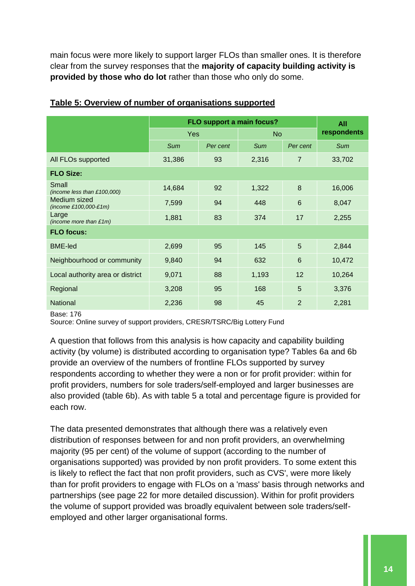main focus were more likely to support larger FLOs than smaller ones. It is therefore clear from the survey responses that the **majority of capacity building activity is provided by those who do lot** rather than those who only do some.

|                                         | FLO support a main focus? | All      |                |                |            |
|-----------------------------------------|---------------------------|----------|----------------|----------------|------------|
|                                         | Yes                       |          | N <sub>o</sub> | respondents    |            |
|                                         | <b>Sum</b>                | Per cent | <b>Sum</b>     | Per cent       | <b>Sum</b> |
| All FLOs supported                      | 31,386                    | 93       | 2,316          | 7              | 33,702     |
| <b>FLO Size:</b>                        |                           |          |                |                |            |
| Small<br>(income less than $£100,000$ ) | 14,684                    | 92       | 1,322          | 8              | 16,006     |
| Medium sized<br>$(income £100,000-E1m)$ | 7,599                     | 94       | 448            | 6              | 8,047      |
| Large<br>(income more than $£1m$ )      | 1,881                     | 83       | 374            | 17             | 2,255      |
| <b>FLO focus:</b>                       |                           |          |                |                |            |
| <b>BME-led</b>                          | 2,699                     | 95       | 145            | 5              | 2,844      |
| Neighbourhood or community              | 9,840                     | 94       | 632            | 6              | 10,472     |
| Local authority area or district        | 9,071                     | 88       | 1,193          | 12             | 10,264     |
| Regional                                | 3,208                     | 95       | 168            | 5              | 3,376      |
| <b>National</b>                         | 2,236                     | 98       | 45             | $\overline{2}$ | 2,281      |

#### <span id="page-14-0"></span>**Table 5: Overview of number of organisations supported**

#### Base: 176

Source: Online survey of support providers, CRESR/TSRC/Big Lottery Fund

A question that follows from this analysis is how capacity and capability building activity (by volume) is distributed according to organisation type? Tables 6a and 6b provide an overview of the numbers of frontline FLOs supported by survey respondents according to whether they were a non or for profit provider: within for profit providers, numbers for sole traders/self-employed and larger businesses are also provided (table 6b). As with table 5 a total and percentage figure is provided for each row.

The data presented demonstrates that although there was a relatively even distribution of responses between for and non profit providers, an overwhelming majority (95 per cent) of the volume of support (according to the number of organisations supported) was provided by non profit providers. To some extent this is likely to reflect the fact that non profit providers, such as CVS', were more likely than for profit providers to engage with FLOs on a 'mass' basis through networks and partnerships (see page 22 for more detailed discussion). Within for profit providers the volume of support provided was broadly equivalent between sole traders/selfemployed and other larger organisational forms.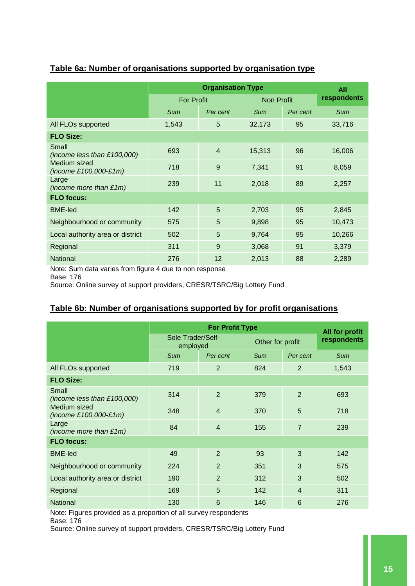|                                         |                   | All            |                   |          |             |  |
|-----------------------------------------|-------------------|----------------|-------------------|----------|-------------|--|
|                                         | <b>For Profit</b> |                | <b>Non Profit</b> |          | respondents |  |
|                                         | Sum               | Per cent       | Sum               | Per cent | Sum         |  |
| All FLOs supported                      | 1,543             | 5              | 32,173            | 95       | 33,716      |  |
| <b>FLO Size:</b>                        |                   |                |                   |          |             |  |
| Small<br>(income less than $£100,000$ ) | 693               | $\overline{4}$ | 15,313            | 96       | 16,006      |  |
| Medium sized<br>$(income £100,000-E1m)$ | 718               | 9              | 7,341             | 91       | 8,059       |  |
| Large<br>(income more than $£1m$ )      | 239               | 11             | 2,018             | 89       | 2,257       |  |
| <b>FLO focus:</b>                       |                   |                |                   |          |             |  |
| <b>BME-led</b>                          | 142               | 5              | 2,703             | 95       | 2,845       |  |
| Neighbourhood or community              | 575               | 5              | 9,898             | 95       | 10,473      |  |
| Local authority area or district        | 502               | 5              | 9,764             | 95       | 10,266      |  |
| Regional                                | 311               | 9              | 3,068             | 91       | 3,379       |  |
| <b>National</b>                         | 276               | 12             | 2,013             | 88       | 2,289       |  |

## <span id="page-15-0"></span>**Table 6a: Number of organisations supported by organisation type**

Note: Sum data varies from figure 4 due to non response

Base: 176

Source: Online survey of support providers, CRESR/TSRC/Big Lottery Fund

## <span id="page-15-1"></span>**Table 6b: Number of organisations supported by for profit organisations**

|                                         |                               | All for profit |                  |                |            |
|-----------------------------------------|-------------------------------|----------------|------------------|----------------|------------|
|                                         | Sole Trader/Self-<br>employed |                | Other for profit | respondents    |            |
|                                         | Sum                           | Per cent       | <b>Sum</b>       | Per cent       | <b>Sum</b> |
| All FLOs supported                      | 719                           | $\overline{2}$ | 824              | $\overline{2}$ | 1,543      |
| <b>FLO Size:</b>                        |                               |                |                  |                |            |
| Small<br>(income less than $£100,000$ ) | 314                           | $\overline{2}$ | 379              | $\overline{2}$ | 693        |
| Medium sized<br>(income £100,000-£1m)   | 348                           | $\overline{4}$ | 370              | 5              | 718        |
| Large<br>(income more than $£1m$ )      | 84                            | $\overline{4}$ | 155              | $\overline{7}$ | 239        |
| <b>FLO focus:</b>                       |                               |                |                  |                |            |
| <b>BME-led</b>                          | 49                            | $\mathfrak{p}$ | 93               | 3              | 142        |
| Neighbourhood or community              | 224                           | $\overline{2}$ | 351              | 3              | 575        |
| Local authority area or district        | 190                           | $\overline{2}$ | 312              | 3              | 502        |
| Regional                                | 169                           | 5              | 142              | $\overline{4}$ | 311        |
| National                                | 130                           | 6              | 146              | 6              | 276        |

Note: Figures provided as a proportion of all survey respondents

Base: 176

Source: Online survey of support providers, CRESR/TSRC/Big Lottery Fund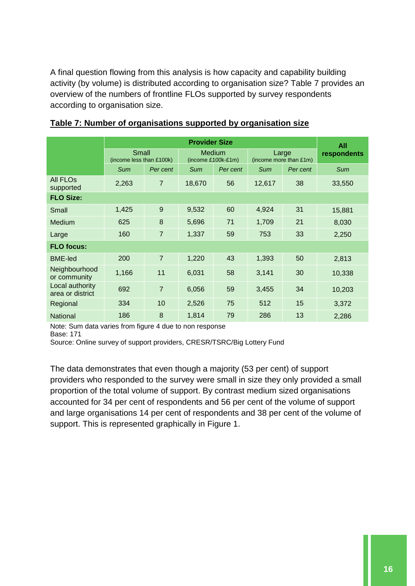A final question flowing from this analysis is how capacity and capability building activity (by volume) is distributed according to organisation size? Table 7 provides an overview of the numbers of frontline FLOs supported by survey respondents according to organisation size.

|                                     | <b>Provider Size</b>              |                |                                       |          |                                 |          |                    |  |
|-------------------------------------|-----------------------------------|----------------|---------------------------------------|----------|---------------------------------|----------|--------------------|--|
|                                     | Small<br>(income less than £100k) |                | <b>Medium</b><br>$(income £100k-E1m)$ |          | Large<br>(income more than £1m) |          | All<br>respondents |  |
|                                     | <b>Sum</b>                        | Per cent       | <b>Sum</b>                            | Per cent | <b>Sum</b>                      | Per cent | <b>Sum</b>         |  |
| <b>All FLOS</b><br>supported        | 2,263                             | $\overline{7}$ | 18,670                                | 56       | 12,617                          | 38       | 33,550             |  |
| <b>FLO Size:</b>                    |                                   |                |                                       |          |                                 |          |                    |  |
| Small                               | 1,425                             | 9              | 9,532                                 | 60       | 4,924                           | 31       | 15,881             |  |
| Medium                              | 625                               | 8              | 5,696                                 | 71       | 1,709                           | 21       | 8,030              |  |
| Large                               | 160                               | $\overline{7}$ | 1,337                                 | 59       | 753                             | 33       | 2,250              |  |
| <b>FLO focus:</b>                   |                                   |                |                                       |          |                                 |          |                    |  |
| <b>BME-led</b>                      | 200                               | $\overline{7}$ | 1,220                                 | 43       | 1,393                           | 50       | 2,813              |  |
| Neighbourhood<br>or community       | 1,166                             | 11             | 6,031                                 | 58       | 3,141                           | 30       | 10,338             |  |
| Local authority<br>area or district | 692                               | $\overline{7}$ | 6,056                                 | 59       | 3,455                           | 34       | 10,203             |  |
| Regional                            | 334                               | 10             | 2,526                                 | 75       | 512                             | 15       | 3,372              |  |
| <b>National</b>                     | 186                               | 8              | 1,814                                 | 79       | 286                             | 13       | 2,286              |  |

<span id="page-16-0"></span>

Note: Sum data varies from figure 4 due to non response

Base: 171

Source: Online survey of support providers, CRESR/TSRC/Big Lottery Fund

The data demonstrates that even though a majority (53 per cent) of support providers who responded to the survey were small in size they only provided a small proportion of the total volume of support. By contrast medium sized organisations accounted for 34 per cent of respondents and 56 per cent of the volume of support and large organisations 14 per cent of respondents and 38 per cent of the volume of support. This is represented graphically in Figure 1.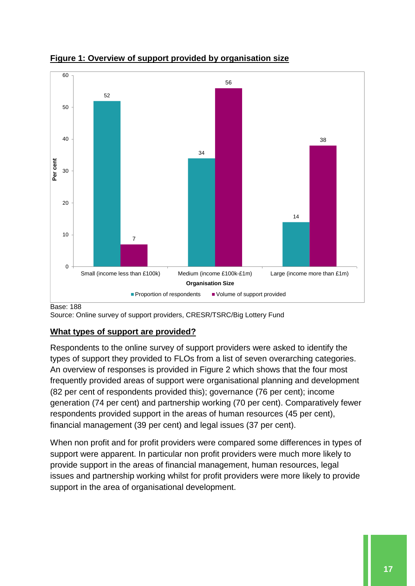

<span id="page-17-0"></span>**Figure 1: Overview of support provided by organisation size**

Base: 188

Source: Online survey of support providers, CRESR/TSRC/Big Lottery Fund

# **What types of support are provided?**

Respondents to the online survey of support providers were asked to identify the types of support they provided to FLOs from a list of seven overarching categories. An overview of responses is provided in Figure 2 which shows that the four most frequently provided areas of support were organisational planning and development (82 per cent of respondents provided this); governance (76 per cent); income generation (74 per cent) and partnership working (70 per cent). Comparatively fewer respondents provided support in the areas of human resources (45 per cent), financial management (39 per cent) and legal issues (37 per cent).

When non profit and for profit providers were compared some differences in types of support were apparent. In particular non profit providers were much more likely to provide support in the areas of financial management, human resources, legal issues and partnership working whilst for profit providers were more likely to provide support in the area of organisational development.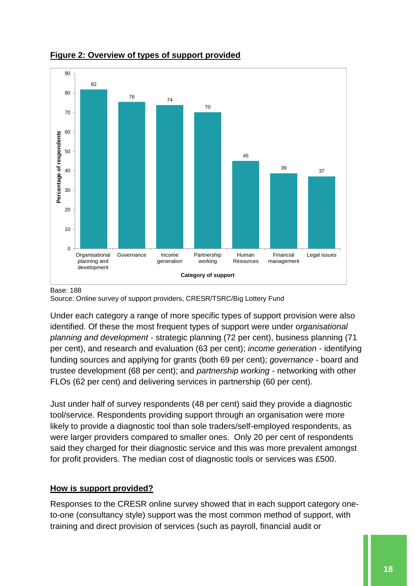

#### <span id="page-18-0"></span>**Figure 2: Overview of types of support provided**

#### Base: 188

Source: Online survey of support providers, CRESR/TSRC/Big Lottery Fund

Under each category a range of more specific types of support provision were also identified. Of these the most frequent types of support were under o*rganisational planning and development* - strategic planning (72 per cent), business planning (71 per cent), and research and evaluation (63 per cent); *income generation* - identifying funding sources and applying for grants (both 69 per cent); *governance* - board and trustee development (68 per cent); and *partnership working* - networking with other FLOs (62 per cent) and delivering services in partnership (60 per cent).

Just under half of survey respondents (48 per cent) said they provide a diagnostic tool/service. Respondents providing support through an organisation were more likely to provide a diagnostic tool than sole traders/self-employed respondents, as were larger providers compared to smaller ones. Only 20 per cent of respondents said they charged for their diagnostic service and this was more prevalent amongst for profit providers. The median cost of diagnostic tools or services was £500.

#### **How is support provided?**

Responses to the CRESR online survey showed that in each support category oneto-one (consultancy style) support was the most common method of support, with training and direct provision of services (such as payroll, financial audit or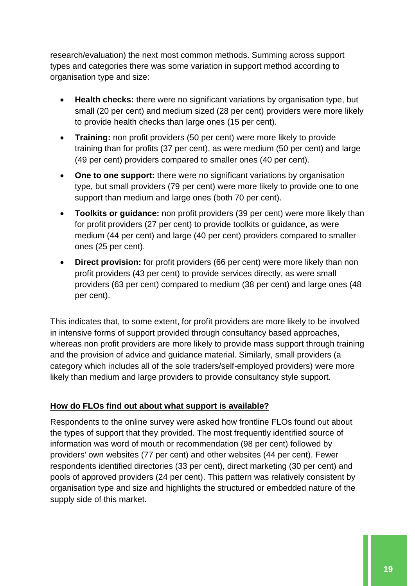research/evaluation) the next most common methods. Summing across support types and categories there was some variation in support method according to organisation type and size:

- **Health checks:** there were no significant variations by organisation type, but small (20 per cent) and medium sized (28 per cent) providers were more likely to provide health checks than large ones (15 per cent).
- **Training:** non profit providers (50 per cent) were more likely to provide training than for profits (37 per cent), as were medium (50 per cent) and large (49 per cent) providers compared to smaller ones (40 per cent).
- **One to one support:** there were no significant variations by organisation type, but small providers (79 per cent) were more likely to provide one to one support than medium and large ones (both 70 per cent).
- **Toolkits or guidance:** non profit providers (39 per cent) were more likely than for profit providers (27 per cent) to provide toolkits or guidance, as were medium (44 per cent) and large (40 per cent) providers compared to smaller ones (25 per cent).
- **Direct provision:** for profit providers (66 per cent) were more likely than non profit providers (43 per cent) to provide services directly, as were small providers (63 per cent) compared to medium (38 per cent) and large ones (48 per cent).

This indicates that, to some extent, for profit providers are more likely to be involved in intensive forms of support provided through consultancy based approaches, whereas non profit providers are more likely to provide mass support through training and the provision of advice and guidance material. Similarly, small providers (a category which includes all of the sole traders/self-employed providers) were more likely than medium and large providers to provide consultancy style support.

## **How do FLOs find out about what support is available?**

Respondents to the online survey were asked how frontline FLOs found out about the types of support that they provided. The most frequently identified source of information was word of mouth or recommendation (98 per cent) followed by providers' own websites (77 per cent) and other websites (44 per cent). Fewer respondents identified directories (33 per cent), direct marketing (30 per cent) and pools of approved providers (24 per cent). This pattern was relatively consistent by organisation type and size and highlights the structured or embedded nature of the supply side of this market.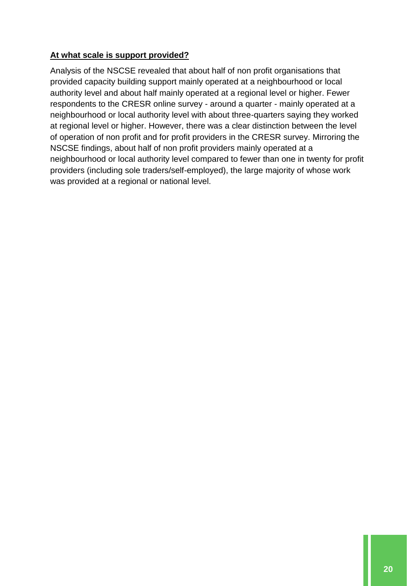## **At what scale is support provided?**

Analysis of the NSCSE revealed that about half of non profit organisations that provided capacity building support mainly operated at a neighbourhood or local authority level and about half mainly operated at a regional level or higher. Fewer respondents to the CRESR online survey - around a quarter - mainly operated at a neighbourhood or local authority level with about three-quarters saying they worked at regional level or higher. However, there was a clear distinction between the level of operation of non profit and for profit providers in the CRESR survey. Mirroring the NSCSE findings, about half of non profit providers mainly operated at a neighbourhood or local authority level compared to fewer than one in twenty for profit providers (including sole traders/self-employed), the large majority of whose work was provided at a regional or national level.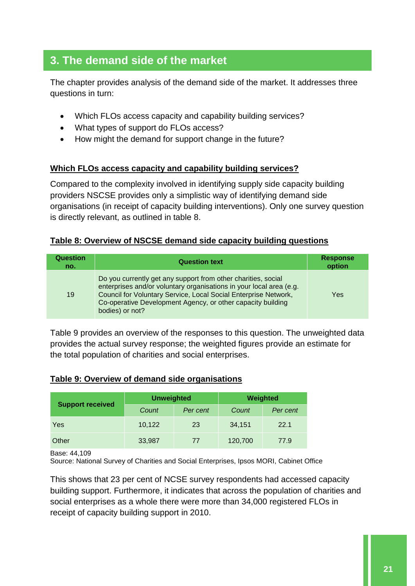# **3. The demand side of the market**

The chapter provides analysis of the demand side of the market. It addresses three questions in turn:

- Which FLOs access capacity and capability building services?
- What types of support do FLOs access?
- How might the demand for support change in the future?

#### **Which FLOs access capacity and capability building services?**

Compared to the complexity involved in identifying supply side capacity building providers NSCSE provides only a simplistic way of identifying demand side organisations (in receipt of capacity building interventions). Only one survey question is directly relevant, as outlined in table 8.

## <span id="page-21-0"></span>**Table 8: Overview of NSCSE demand side capacity building questions**

| <b>Question</b><br>no. | <b>Question text</b>                                                                                                                                                                                                                                                                      | <b>Response</b><br>option |
|------------------------|-------------------------------------------------------------------------------------------------------------------------------------------------------------------------------------------------------------------------------------------------------------------------------------------|---------------------------|
| 19                     | Do you currently get any support from other charities, social<br>enterprises and/or voluntary organisations in your local area (e.g.<br>Council for Voluntary Service, Local Social Enterprise Network,<br>Co-operative Development Agency, or other capacity building<br>bodies) or not? | Yes                       |

Table 9 provides an overview of the responses to this question. The unweighted data provides the actual survey response; the weighted figures provide an estimate for the total population of charities and social enterprises.

#### <span id="page-21-1"></span>**Table 9: Overview of demand side organisations**

|                         | <b>Unweighted</b> |          | Weighted |          |  |
|-------------------------|-------------------|----------|----------|----------|--|
| <b>Support received</b> | Count             | Per cent | Count    | Per cent |  |
| Yes                     | 10,122            | 23       | 34,151   | 22.1     |  |
| Other                   | 33,987            | 77       | 120,700  | 77.9     |  |

#### Base: 44,109

Source: National Survey of Charities and Social Enterprises, Ipsos MORI, Cabinet Office

This shows that 23 per cent of NCSE survey respondents had accessed capacity building support. Furthermore, it indicates that across the population of charities and social enterprises as a whole there were more than 34,000 registered FLOs in receipt of capacity building support in 2010.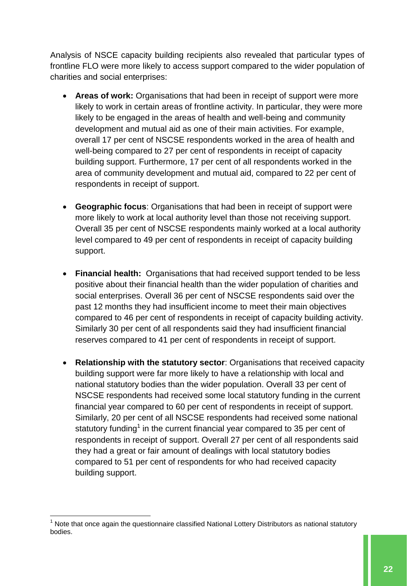Analysis of NSCE capacity building recipients also revealed that particular types of frontline FLO were more likely to access support compared to the wider population of charities and social enterprises:

- **Areas of work:** Organisations that had been in receipt of support were more likely to work in certain areas of frontline activity. In particular, they were more likely to be engaged in the areas of health and well-being and community development and mutual aid as one of their main activities. For example, overall 17 per cent of NSCSE respondents worked in the area of health and well-being compared to 27 per cent of respondents in receipt of capacity building support. Furthermore, 17 per cent of all respondents worked in the area of community development and mutual aid, compared to 22 per cent of respondents in receipt of support.
- **Geographic focus**: Organisations that had been in receipt of support were more likely to work at local authority level than those not receiving support. Overall 35 per cent of NSCSE respondents mainly worked at a local authority level compared to 49 per cent of respondents in receipt of capacity building support.
- **Financial health:** Organisations that had received support tended to be less positive about their financial health than the wider population of charities and social enterprises. Overall 36 per cent of NSCSE respondents said over the past 12 months they had insufficient income to meet their main objectives compared to 46 per cent of respondents in receipt of capacity building activity. Similarly 30 per cent of all respondents said they had insufficient financial reserves compared to 41 per cent of respondents in receipt of support.
- **Relationship with the statutory sector**: Organisations that received capacity building support were far more likely to have a relationship with local and national statutory bodies than the wider population. Overall 33 per cent of NSCSE respondents had received some local statutory funding in the current financial year compared to 60 per cent of respondents in receipt of support. Similarly, 20 per cent of all NSCSE respondents had received some national statutory funding<sup>1</sup> in the current financial year compared to 35 per cent of respondents in receipt of support. Overall 27 per cent of all respondents said they had a great or fair amount of dealings with local statutory bodies compared to 51 per cent of respondents for who had received capacity building support.

1

 $<sup>1</sup>$  Note that once again the questionnaire classified National Lottery Distributors as national statutory</sup> bodies.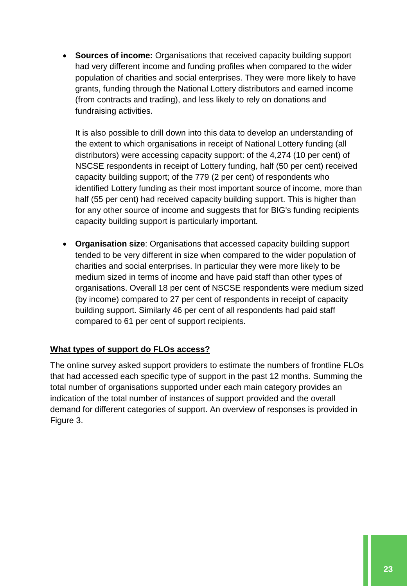**Sources of income:** Organisations that received capacity building support had very different income and funding profiles when compared to the wider population of charities and social enterprises. They were more likely to have grants, funding through the National Lottery distributors and earned income (from contracts and trading), and less likely to rely on donations and fundraising activities.

It is also possible to drill down into this data to develop an understanding of the extent to which organisations in receipt of National Lottery funding (all distributors) were accessing capacity support: of the 4,274 (10 per cent) of NSCSE respondents in receipt of Lottery funding, half (50 per cent) received capacity building support; of the 779 (2 per cent) of respondents who identified Lottery funding as their most important source of income, more than half (55 per cent) had received capacity building support. This is higher than for any other source of income and suggests that for BIG's funding recipients capacity building support is particularly important.

 **Organisation size**: Organisations that accessed capacity building support tended to be very different in size when compared to the wider population of charities and social enterprises. In particular they were more likely to be medium sized in terms of income and have paid staff than other types of organisations. Overall 18 per cent of NSCSE respondents were medium sized (by income) compared to 27 per cent of respondents in receipt of capacity building support. Similarly 46 per cent of all respondents had paid staff compared to 61 per cent of support recipients.

## **What types of support do FLOs access?**

The online survey asked support providers to estimate the numbers of frontline FLOs that had accessed each specific type of support in the past 12 months. Summing the total number of organisations supported under each main category provides an indication of the total number of instances of support provided and the overall demand for different categories of support. An overview of responses is provided in Figure 3.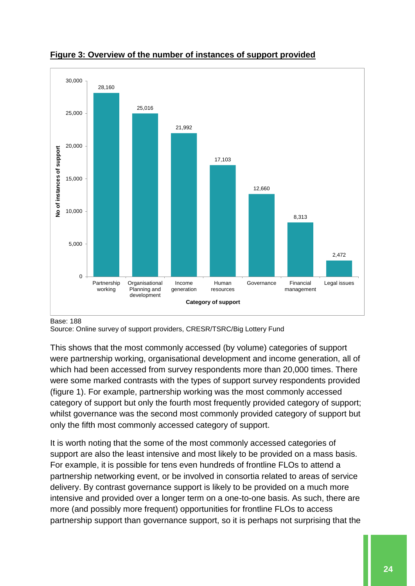

<span id="page-24-0"></span>

#### Base: 188

Source: Online survey of support providers, CRESR/TSRC/Big Lottery Fund

This shows that the most commonly accessed (by volume) categories of support were partnership working, organisational development and income generation, all of which had been accessed from survey respondents more than 20,000 times. There were some marked contrasts with the types of support survey respondents provided (figure 1). For example, partnership working was the most commonly accessed category of support but only the fourth most frequently provided category of support; whilst governance was the second most commonly provided category of support but only the fifth most commonly accessed category of support.

It is worth noting that the some of the most commonly accessed categories of support are also the least intensive and most likely to be provided on a mass basis. For example, it is possible for tens even hundreds of frontline FLOs to attend a partnership networking event, or be involved in consortia related to areas of service delivery. By contrast governance support is likely to be provided on a much more intensive and provided over a longer term on a one-to-one basis. As such, there are more (and possibly more frequent) opportunities for frontline FLOs to access partnership support than governance support, so it is perhaps not surprising that the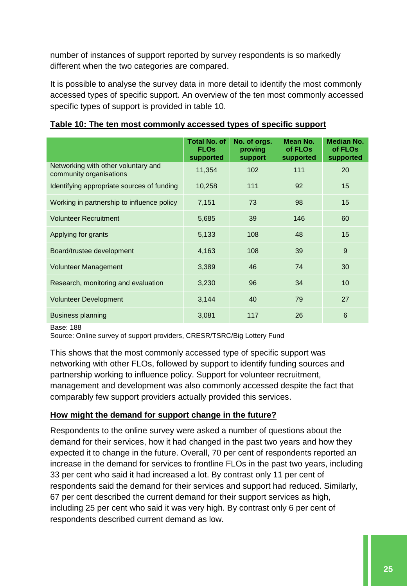number of instances of support reported by survey respondents is so markedly different when the two categories are compared.

It is possible to analyse the survey data in more detail to identify the most commonly accessed types of specific support. An overview of the ten most commonly accessed specific types of support is provided in table 10.

|                                                                | <b>Total No. of</b><br><b>FLOs</b><br>supported | No. of orgs.<br>proving<br>support | Mean No.<br>of FLOs<br>supported | <b>Median No.</b><br>of FLOs<br>supported |
|----------------------------------------------------------------|-------------------------------------------------|------------------------------------|----------------------------------|-------------------------------------------|
| Networking with other voluntary and<br>community organisations | 11,354                                          | 102                                | 111                              | 20                                        |
| Identifying appropriate sources of funding                     | 10,258                                          | 111                                | 92                               | 15                                        |
| Working in partnership to influence policy                     | 7,151                                           | 73                                 | 98                               | 15                                        |
| <b>Volunteer Recruitment</b>                                   | 5,685                                           | 39                                 | 146                              | 60                                        |
| Applying for grants                                            | 5,133                                           | 108                                | 48                               | 15                                        |
| Board/trustee development                                      | 4,163                                           | 108                                | 39                               | 9                                         |
| <b>Volunteer Management</b>                                    | 3,389                                           | 46                                 | 74                               | 30                                        |
| Research, monitoring and evaluation                            | 3,230                                           | 96                                 | 34                               | 10                                        |
| <b>Volunteer Development</b>                                   | 3,144                                           | 40                                 | 79                               | 27                                        |
| <b>Business planning</b>                                       | 3,081                                           | 117                                | 26                               | $6\phantom{1}6$                           |

#### <span id="page-25-0"></span>**Table 10: The ten most commonly accessed types of specific support**

Base: 188

Source: Online survey of support providers, CRESR/TSRC/Big Lottery Fund

This shows that the most commonly accessed type of specific support was networking with other FLOs, followed by support to identify funding sources and partnership working to influence policy. Support for volunteer recruitment, management and development was also commonly accessed despite the fact that comparably few support providers actually provided this services.

#### **How might the demand for support change in the future?**

Respondents to the online survey were asked a number of questions about the demand for their services, how it had changed in the past two years and how they expected it to change in the future. Overall, 70 per cent of respondents reported an increase in the demand for services to frontline FLOs in the past two years, including 33 per cent who said it had increased a lot. By contrast only 11 per cent of respondents said the demand for their services and support had reduced. Similarly, 67 per cent described the current demand for their support services as high, including 25 per cent who said it was very high. By contrast only 6 per cent of respondents described current demand as low.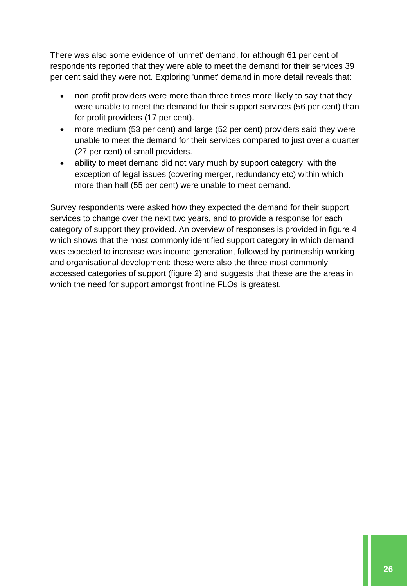There was also some evidence of 'unmet' demand, for although 61 per cent of respondents reported that they were able to meet the demand for their services 39 per cent said they were not. Exploring 'unmet' demand in more detail reveals that:

- non profit providers were more than three times more likely to say that they were unable to meet the demand for their support services (56 per cent) than for profit providers (17 per cent).
- more medium (53 per cent) and large (52 per cent) providers said they were unable to meet the demand for their services compared to just over a quarter (27 per cent) of small providers.
- ability to meet demand did not vary much by support category, with the exception of legal issues (covering merger, redundancy etc) within which more than half (55 per cent) were unable to meet demand.

Survey respondents were asked how they expected the demand for their support services to change over the next two years, and to provide a response for each category of support they provided. An overview of responses is provided in figure 4 which shows that the most commonly identified support category in which demand was expected to increase was income generation, followed by partnership working and organisational development: these were also the three most commonly accessed categories of support (figure 2) and suggests that these are the areas in which the need for support amongst frontline FLOs is greatest.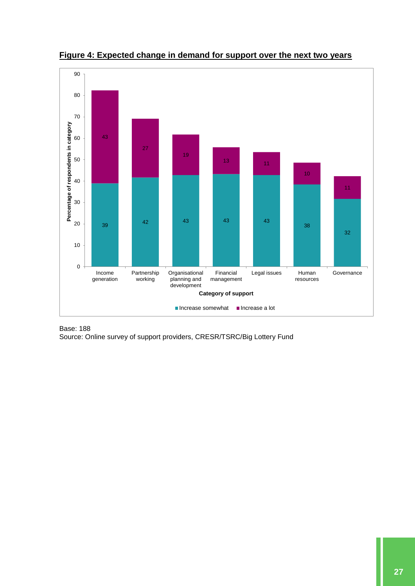

<span id="page-27-0"></span>**Figure 4: Expected change in demand for support over the next two years**

Base: 188 Source: Online survey of support providers, CRESR/TSRC/Big Lottery Fund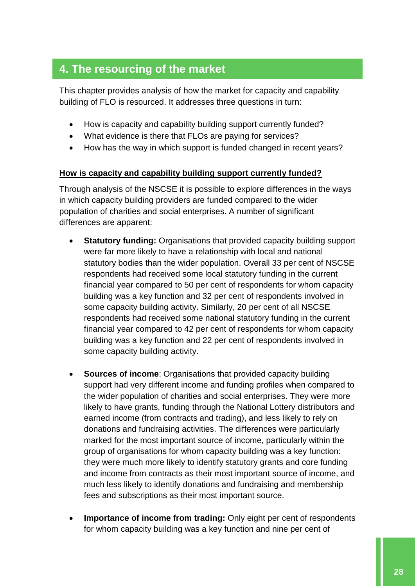# **4. The resourcing of the market**

This chapter provides analysis of how the market for capacity and capability building of FLO is resourced. It addresses three questions in turn:

- How is capacity and capability building support currently funded?
- What evidence is there that FLOs are paying for services?
- How has the way in which support is funded changed in recent years?

#### **How is capacity and capability building support currently funded?**

Through analysis of the NSCSE it is possible to explore differences in the ways in which capacity building providers are funded compared to the wider population of charities and social enterprises. A number of significant differences are apparent:

- **Statutory funding:** Organisations that provided capacity building support were far more likely to have a relationship with local and national statutory bodies than the wider population. Overall 33 per cent of NSCSE respondents had received some local statutory funding in the current financial year compared to 50 per cent of respondents for whom capacity building was a key function and 32 per cent of respondents involved in some capacity building activity. Similarly, 20 per cent of all NSCSE respondents had received some national statutory funding in the current financial year compared to 42 per cent of respondents for whom capacity building was a key function and 22 per cent of respondents involved in some capacity building activity.
- **Sources of income**: Organisations that provided capacity building support had very different income and funding profiles when compared to the wider population of charities and social enterprises. They were more likely to have grants, funding through the National Lottery distributors and earned income (from contracts and trading), and less likely to rely on donations and fundraising activities. The differences were particularly marked for the most important source of income, particularly within the group of organisations for whom capacity building was a key function: they were much more likely to identify statutory grants and core funding and income from contracts as their most important source of income, and much less likely to identify donations and fundraising and membership fees and subscriptions as their most important source.
- **Importance of income from trading:** Only eight per cent of respondents for whom capacity building was a key function and nine per cent of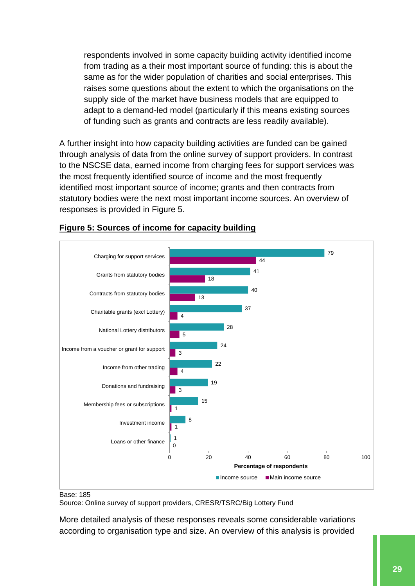respondents involved in some capacity building activity identified income from trading as a their most important source of funding: this is about the same as for the wider population of charities and social enterprises. This raises some questions about the extent to which the organisations on the supply side of the market have business models that are equipped to adapt to a demand-led model (particularly if this means existing sources of funding such as grants and contracts are less readily available).

A further insight into how capacity building activities are funded can be gained through analysis of data from the online survey of support providers. In contrast to the NSCSE data, earned income from charging fees for support services was the most frequently identified source of income and the most frequently identified most important source of income; grants and then contracts from statutory bodies were the next most important income sources. An overview of responses is provided in Figure 5.



## <span id="page-29-0"></span>**Figure 5: Sources of income for capacity building**

Base: 185

Source: Online survey of support providers, CRESR/TSRC/Big Lottery Fund

More detailed analysis of these responses reveals some considerable variations according to organisation type and size. An overview of this analysis is provided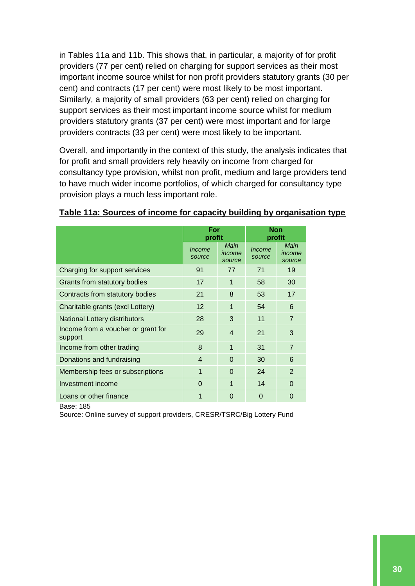in Tables 11a and 11b. This shows that, in particular, a majority of for profit providers (77 per cent) relied on charging for support services as their most important income source whilst for non profit providers statutory grants (30 per cent) and contracts (17 per cent) were most likely to be most important. Similarly, a majority of small providers (63 per cent) relied on charging for support services as their most important income source whilst for medium providers statutory grants (37 per cent) were most important and for large providers contracts (33 per cent) were most likely to be important.

Overall, and importantly in the context of this study, the analysis indicates that for profit and small providers rely heavily on income from charged for consultancy type provision, whilst non profit, medium and large providers tend to have much wider income portfolios, of which charged for consultancy type provision plays a much less important role.

|                                               | For<br>profit           |                          | <b>Non</b><br>profit    |                          |
|-----------------------------------------------|-------------------------|--------------------------|-------------------------|--------------------------|
|                                               | <i>Income</i><br>source | Main<br>income<br>source | <i>Income</i><br>source | Main<br>income<br>source |
| Charging for support services                 | 91                      | 77                       | 71                      | 19                       |
| Grants from statutory bodies                  | 17                      | 1                        | 58                      | 30                       |
| Contracts from statutory bodies               | 21                      | 8                        | 53                      | 17                       |
| Charitable grants (excl Lottery)              | 12                      | 1                        | 54                      | 6                        |
| <b>National Lottery distributors</b>          | 28                      | 3                        | 11                      | $\overline{7}$           |
| Income from a voucher or grant for<br>support | 29                      | $\overline{4}$           | 21                      | 3                        |
| Income from other trading                     | 8                       | 1                        | 31                      | $\overline{7}$           |
| Donations and fundraising                     | $\overline{4}$          | $\Omega$                 | 30                      | 6                        |
| Membership fees or subscriptions              | 1                       | $\Omega$                 | 24                      | 2                        |
| Investment income                             | $\Omega$                | 1                        | 14                      | $\Omega$                 |
| Loans or other finance                        | 1                       | 0                        | 0                       | 0                        |

#### <span id="page-30-0"></span>**Table 11a: Sources of income for capacity building by organisation type**

Base: 185

Source: Online survey of support providers, CRESR/TSRC/Big Lottery Fund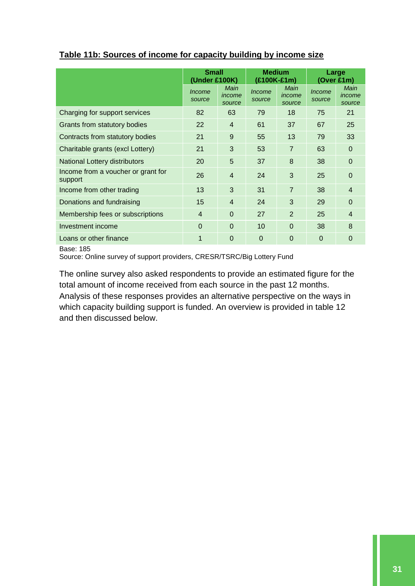|                                               | <b>Small</b>     |                                 | <b>Medium</b>           |                          | Large            |                          |
|-----------------------------------------------|------------------|---------------------------------|-------------------------|--------------------------|------------------|--------------------------|
|                                               | (Under £100K)    |                                 | (£100K-£1m)             |                          | (Over £1m)       |                          |
|                                               | Income<br>source | <b>Main</b><br>income<br>source | <i>Income</i><br>source | Main<br>income<br>source | Income<br>source | Main<br>income<br>source |
| Charging for support services                 | 82               | 63                              | 79                      | 18                       | 75               | 21                       |
| Grants from statutory bodies                  | 22               | $\overline{4}$                  | 61                      | 37                       | 67               | 25                       |
| Contracts from statutory bodies               | 21               | 9                               | 55                      | 13                       | 79               | 33                       |
| Charitable grants (excl Lottery)              | 21               | 3                               | 53                      | $\overline{7}$           | 63               | $\Omega$                 |
| <b>National Lottery distributors</b>          | 20               | 5                               | 37                      | 8                        | 38               | $\Omega$                 |
| Income from a voucher or grant for<br>support | 26               | $\overline{4}$                  | 24                      | 3                        | 25               | $\mathbf 0$              |
| Income from other trading                     | 13               | 3                               | 31                      | $\overline{7}$           | 38               | $\overline{4}$           |
| Donations and fundraising                     | 15               | $\overline{4}$                  | 24                      | 3                        | 29               | $\Omega$                 |
| Membership fees or subscriptions              | $\overline{4}$   | $\Omega$                        | 27                      | $\overline{2}$           | 25               | $\overline{4}$           |
| Investment income                             | $\Omega$         | $\Omega$                        | 10                      | $\Omega$                 | 38               | 8                        |
| Loans or other finance                        | 1                | $\mathbf 0$                     | $\overline{0}$          | $\Omega$                 | 0                | $\mathbf 0$              |
| $D_{0.001}$ 40 $E$                            |                  |                                 |                         |                          |                  |                          |

#### <span id="page-31-0"></span>**Table 11b: Sources of income for capacity building by income size**

Base: 185

Source: Online survey of support providers, CRESR/TSRC/Big Lottery Fund

The online survey also asked respondents to provide an estimated figure for the total amount of income received from each source in the past 12 months. Analysis of these responses provides an alternative perspective on the ways in which capacity building support is funded. An overview is provided in table 12 and then discussed below.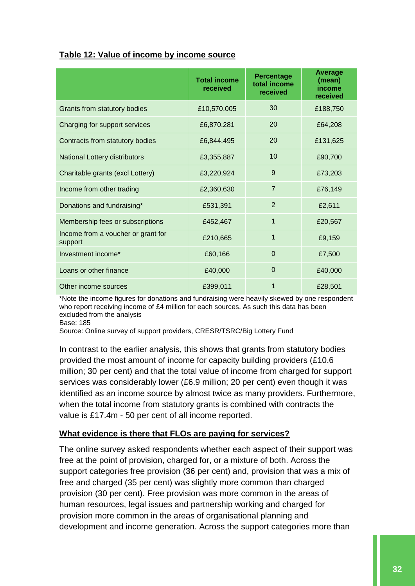#### <span id="page-32-0"></span>**Table 12: Value of income by income source**

|                                               | <b>Total income</b><br>received | <b>Percentage</b><br>total income<br>received | <b>Average</b><br>(mean)<br>income<br>received |
|-----------------------------------------------|---------------------------------|-----------------------------------------------|------------------------------------------------|
| Grants from statutory bodies                  | £10,570,005                     | 30                                            | £188,750                                       |
| Charging for support services                 | £6,870,281                      | 20                                            | £64,208                                        |
| Contracts from statutory bodies               | £6,844,495                      | 20                                            | £131,625                                       |
| National Lottery distributors                 | £3,355,887                      | 10                                            | £90,700                                        |
| Charitable grants (excl Lottery)              | £3,220,924                      | 9                                             | £73,203                                        |
| Income from other trading                     | £2,360,630                      | $\overline{7}$                                | £76,149                                        |
| Donations and fundraising*                    | £531,391                        | 2                                             | £2,611                                         |
| Membership fees or subscriptions              | £452,467                        | 1                                             | £20,567                                        |
| Income from a voucher or grant for<br>support | £210,665                        | $\mathbf{1}$                                  | £9,159                                         |
| Investment income*                            | £60,166                         | 0                                             | £7,500                                         |
| Loans or other finance                        | £40,000                         | $\mathbf 0$                                   | £40,000                                        |
| Other income sources                          | £399,011                        | 1                                             | £28,501                                        |

\*Note the income figures for donations and fundraising were heavily skewed by one respondent who report receiving income of £4 million for each sources. As such this data has been excluded from the analysis

Base: 185

Source: Online survey of support providers, CRESR/TSRC/Big Lottery Fund

In contrast to the earlier analysis, this shows that grants from statutory bodies provided the most amount of income for capacity building providers (£10.6 million; 30 per cent) and that the total value of income from charged for support services was considerably lower (£6.9 million; 20 per cent) even though it was identified as an income source by almost twice as many providers. Furthermore, when the total income from statutory grants is combined with contracts the value is £17.4m - 50 per cent of all income reported.

#### **What evidence is there that FLOs are paying for services?**

The online survey asked respondents whether each aspect of their support was free at the point of provision, charged for, or a mixture of both. Across the support categories free provision (36 per cent) and, provision that was a mix of free and charged (35 per cent) was slightly more common than charged provision (30 per cent). Free provision was more common in the areas of human resources, legal issues and partnership working and charged for provision more common in the areas of organisational planning and development and income generation. Across the support categories more than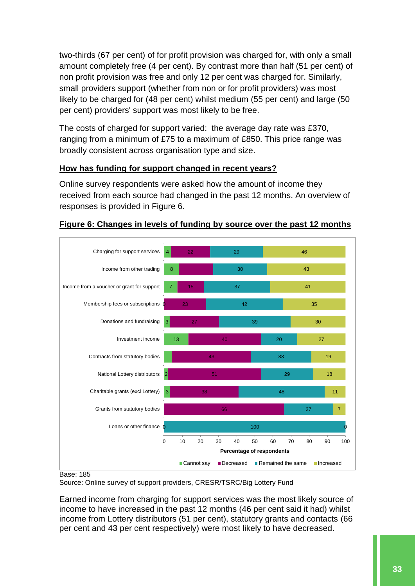two-thirds (67 per cent) of for profit provision was charged for, with only a small amount completely free (4 per cent). By contrast more than half (51 per cent) of non profit provision was free and only 12 per cent was charged for. Similarly, small providers support (whether from non or for profit providers) was most likely to be charged for (48 per cent) whilst medium (55 per cent) and large (50 per cent) providers' support was most likely to be free.

The costs of charged for support varied: the average day rate was £370, ranging from a minimum of £75 to a maximum of £850. This price range was broadly consistent across organisation type and size.

## **How has funding for support changed in recent years?**

Online survey respondents were asked how the amount of income they received from each source had changed in the past 12 months. An overview of responses is provided in Figure 6.



## <span id="page-33-0"></span>**Figure 6: Changes in levels of funding by source over the past 12 months**

Base: 185

Source: Online survey of support providers, CRESR/TSRC/Big Lottery Fund

Earned income from charging for support services was the most likely source of income to have increased in the past 12 months (46 per cent said it had) whilst income from Lottery distributors (51 per cent), statutory grants and contacts (66 per cent and 43 per cent respectively) were most likely to have decreased.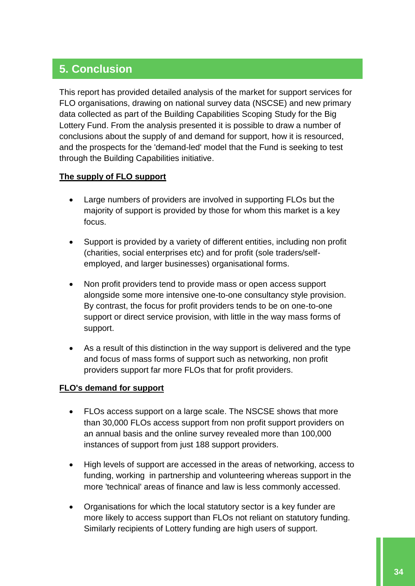# **5. Conclusion**

This report has provided detailed analysis of the market for support services for FLO organisations, drawing on national survey data (NSCSE) and new primary data collected as part of the Building Capabilities Scoping Study for the Big Lottery Fund. From the analysis presented it is possible to draw a number of conclusions about the supply of and demand for support, how it is resourced, and the prospects for the 'demand-led' model that the Fund is seeking to test through the Building Capabilities initiative.

## **The supply of FLO support**

- Large numbers of providers are involved in supporting FLOs but the majority of support is provided by those for whom this market is a key focus.
- Support is provided by a variety of different entities, including non profit (charities, social enterprises etc) and for profit (sole traders/selfemployed, and larger businesses) organisational forms.
- Non profit providers tend to provide mass or open access support alongside some more intensive one-to-one consultancy style provision. By contrast, the focus for profit providers tends to be on one-to-one support or direct service provision, with little in the way mass forms of support.
- As a result of this distinction in the way support is delivered and the type and focus of mass forms of support such as networking, non profit providers support far more FLOs that for profit providers.

## **FLO's demand for support**

- FLOs access support on a large scale. The NSCSE shows that more than 30,000 FLOs access support from non profit support providers on an annual basis and the online survey revealed more than 100,000 instances of support from just 188 support providers.
- High levels of support are accessed in the areas of networking, access to funding, working in partnership and volunteering whereas support in the more 'technical' areas of finance and law is less commonly accessed.
- Organisations for which the local statutory sector is a key funder are more likely to access support than FLOs not reliant on statutory funding. Similarly recipients of Lottery funding are high users of support.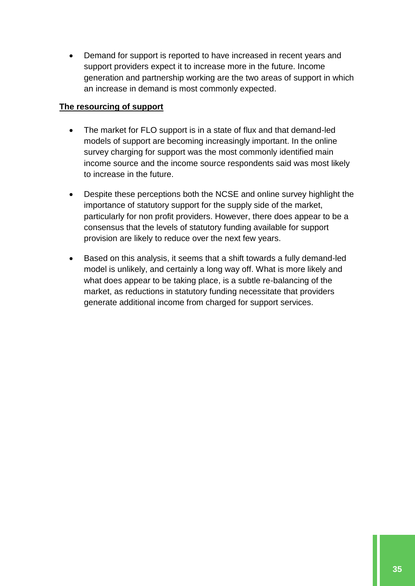Demand for support is reported to have increased in recent years and support providers expect it to increase more in the future. Income generation and partnership working are the two areas of support in which an increase in demand is most commonly expected.

#### **The resourcing of support**

- The market for FLO support is in a state of flux and that demand-led models of support are becoming increasingly important. In the online survey charging for support was the most commonly identified main income source and the income source respondents said was most likely to increase in the future.
- Despite these perceptions both the NCSE and online survey highlight the importance of statutory support for the supply side of the market, particularly for non profit providers. However, there does appear to be a consensus that the levels of statutory funding available for support provision are likely to reduce over the next few years.
- Based on this analysis, it seems that a shift towards a fully demand-led model is unlikely, and certainly a long way off. What is more likely and what does appear to be taking place, is a subtle re-balancing of the market, as reductions in statutory funding necessitate that providers generate additional income from charged for support services.